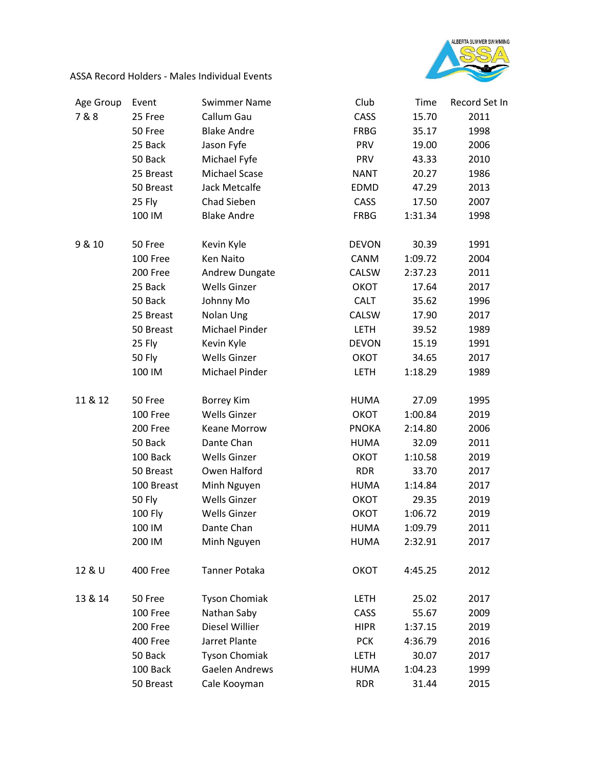

ASSA Record Holders - Males Individual Events

| Age Group | Event          | <b>Swimmer Name</b>   | Club         | Time    | Record Set In |
|-----------|----------------|-----------------------|--------------|---------|---------------|
| 7&8       | 25 Free        | Callum Gau            | CASS         | 15.70   | 2011          |
|           | 50 Free        | <b>Blake Andre</b>    | <b>FRBG</b>  | 35.17   | 1998          |
|           | 25 Back        | Jason Fyfe            | <b>PRV</b>   | 19.00   | 2006          |
|           | 50 Back        | Michael Fyfe          | <b>PRV</b>   | 43.33   | 2010          |
|           | 25 Breast      | Michael Scase         | <b>NANT</b>  | 20.27   | 1986          |
|           | 50 Breast      | Jack Metcalfe         | EDMD         | 47.29   | 2013          |
|           | 25 Fly         | Chad Sieben           | <b>CASS</b>  | 17.50   | 2007          |
|           | 100 IM         | <b>Blake Andre</b>    | FRBG         | 1:31.34 | 1998          |
| 9 & 10    | 50 Free        | Kevin Kyle            | <b>DEVON</b> | 30.39   | 1991          |
|           | 100 Free       | Ken Naito             | CANM         | 1:09.72 | 2004          |
|           | 200 Free       | Andrew Dungate        | CALSW        | 2:37.23 | 2011          |
|           | 25 Back        | <b>Wells Ginzer</b>   | ОКОТ         | 17.64   | 2017          |
|           | 50 Back        | Johnny Mo             | <b>CALT</b>  | 35.62   | 1996          |
|           | 25 Breast      | Nolan Ung             | CALSW        | 17.90   | 2017          |
|           | 50 Breast      | <b>Michael Pinder</b> | <b>LETH</b>  | 39.52   | 1989          |
|           | 25 Fly         | Kevin Kyle            | <b>DEVON</b> | 15.19   | 1991          |
|           | 50 Fly         | <b>Wells Ginzer</b>   | ОКОТ         | 34.65   | 2017          |
|           | 100 IM         | Michael Pinder        | <b>LETH</b>  | 1:18.29 | 1989          |
| 11 & 12   | 50 Free        | <b>Borrey Kim</b>     | <b>HUMA</b>  | 27.09   | 1995          |
|           | 100 Free       | <b>Wells Ginzer</b>   | ОКОТ         | 1:00.84 | 2019          |
|           | 200 Free       | <b>Keane Morrow</b>   | <b>PNOKA</b> | 2:14.80 | 2006          |
|           | 50 Back        | Dante Chan            | <b>HUMA</b>  | 32.09   | 2011          |
|           | 100 Back       | <b>Wells Ginzer</b>   | ОКОТ         | 1:10.58 | 2019          |
|           | 50 Breast      | Owen Halford          | <b>RDR</b>   | 33.70   | 2017          |
|           | 100 Breast     | Minh Nguyen           | <b>HUMA</b>  | 1:14.84 | 2017          |
|           | 50 Fly         | <b>Wells Ginzer</b>   | OKOT         | 29.35   | 2019          |
|           | <b>100 Fly</b> | <b>Wells Ginzer</b>   | ОКОТ         | 1:06.72 | 2019          |
|           | 100 IM         | Dante Chan            | <b>HUMA</b>  | 1:09.79 | 2011          |
|           | 200 IM         | Minh Nguyen           | <b>HUMA</b>  | 2:32.91 | 2017          |
| 12 & U    | 400 Free       | Tanner Potaka         | ОКОТ         | 4:45.25 | 2012          |
| 13 & 14   | 50 Free        | <b>Tyson Chomiak</b>  | <b>LETH</b>  | 25.02   | 2017          |
|           | 100 Free       | Nathan Saby           | <b>CASS</b>  | 55.67   | 2009          |
|           | 200 Free       | Diesel Willier        | <b>HIPR</b>  | 1:37.15 | 2019          |
|           | 400 Free       | Jarret Plante         | <b>PCK</b>   | 4:36.79 | 2016          |
|           | 50 Back        | <b>Tyson Chomiak</b>  | <b>LETH</b>  | 30.07   | 2017          |
|           | 100 Back       | Gaelen Andrews        | <b>HUMA</b>  | 1:04.23 | 1999          |
|           | 50 Breast      | Cale Kooyman          | <b>RDR</b>   | 31.44   | 2015          |